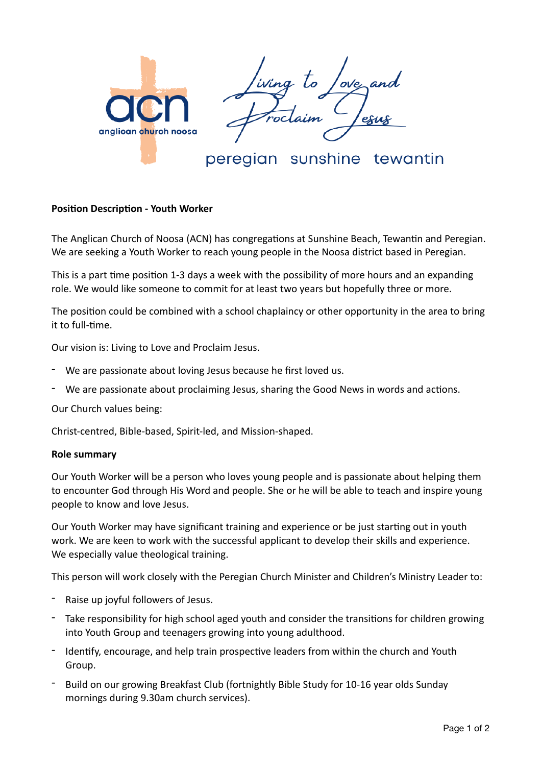

peregian sunshine tewantin

## **Position Description - Youth Worker**

The Anglican Church of Noosa (ACN) has congregations at Sunshine Beach, Tewantin and Peregian. We are seeking a Youth Worker to reach young people in the Noosa district based in Peregian.

This is a part time position 1-3 days a week with the possibility of more hours and an expanding role. We would like someone to commit for at least two years but hopefully three or more.

The position could be combined with a school chaplaincy or other opportunity in the area to bring it to full-time.

Our vision is: Living to Love and Proclaim Jesus.

- We are passionate about loving Jesus because he first loved us.
- We are passionate about proclaiming Jesus, sharing the Good News in words and actions.

Our Church values being:

Christ-centred, Bible-based, Spirit-led, and Mission-shaped.

## **Role summary**

Our Youth Worker will be a person who loves young people and is passionate about helping them to encounter God through His Word and people. She or he will be able to teach and inspire young people to know and love Jesus.

Our Youth Worker may have significant training and experience or be just starting out in youth work. We are keen to work with the successful applicant to develop their skills and experience. We especially value theological training.

This person will work closely with the Peregian Church Minister and Children's Ministry Leader to:

- Raise up joyful followers of Jesus.
- Take responsibility for high school aged youth and consider the transitions for children growing into Youth Group and teenagers growing into young adulthood.
- Identify, encourage, and help train prospective leaders from within the church and Youth Group.
- Build on our growing Breakfast Club (fortnightly Bible Study for 10-16 year olds Sunday mornings during 9.30am church services).